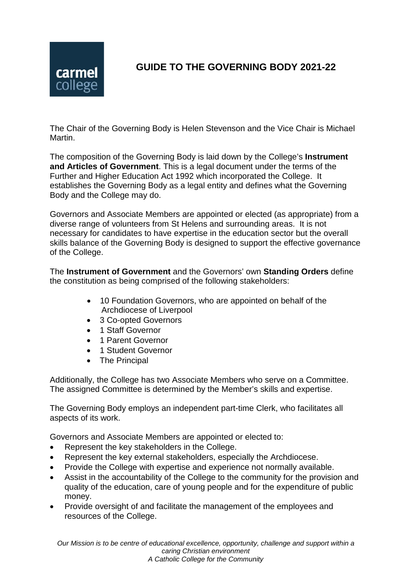

## **GUIDE TO THE GOVERNING BODY 2021-22**

The Chair of the Governing Body is Helen Stevenson and the Vice Chair is Michael Martin.

The composition of the Governing Body is laid down by the College's **Instrument and Articles of Government**. This is a legal document under the terms of the Further and Higher Education Act 1992 which incorporated the College. It establishes the Governing Body as a legal entity and defines what the Governing Body and the College may do.

Governors and Associate Members are appointed or elected (as appropriate) from a diverse range of volunteers from St Helens and surrounding areas. It is not necessary for candidates to have expertise in the education sector but the overall skills balance of the Governing Body is designed to support the effective governance of the College.

The **Instrument of Government** and the Governors' own **Standing Orders** define the constitution as being comprised of the following stakeholders:

- 10 Foundation Governors, who are appointed on behalf of the Archdiocese of Liverpool
- 3 Co-opted Governors
- 1 Staff Governor
- 1 Parent Governor
- 1 Student Governor
- The Principal

Additionally, the College has two Associate Members who serve on a Committee. The assigned Committee is determined by the Member's skills and expertise.

The Governing Body employs an independent part-time Clerk, who facilitates all aspects of its work.

Governors and Associate Members are appointed or elected to:

- Represent the key stakeholders in the College.
- Represent the key external stakeholders, especially the Archdiocese.
- Provide the College with expertise and experience not normally available.
- Assist in the accountability of the College to the community for the provision and quality of the education, care of young people and for the expenditure of public money.
- Provide oversight of and facilitate the management of the employees and resources of the College.